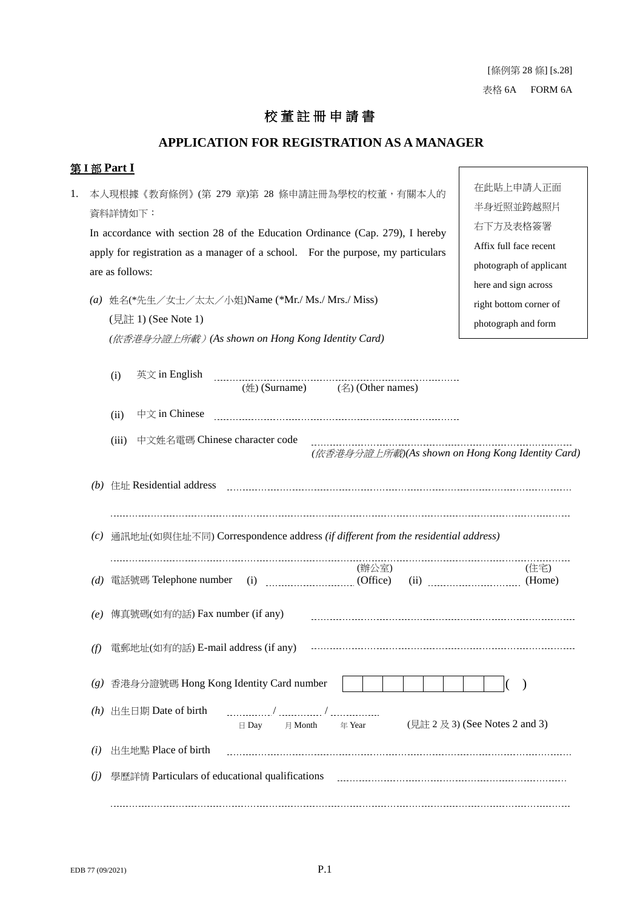### 校 董 註 冊 申 請 書

#### **APPLICATION FOR REGISTRATION AS A MANAGER**

#### 第 **I** 部 **Part I**

1. 本人現根據《教育條例》(第 279 章)第 28 條申請註冊為學校的校董,有關本人的 資料詳情如下: In accordance with section 28 of the Education Ordinance (Cap. 279), I hereby apply for registration as a manager of a school. For the purpose, my particulars are as follows: *(a)* 姓名(\*先生/女士/太太/小姐)Name (\*Mr./ Ms./ Mrs./ Miss) (見註 1) (See Note 1) *(*依香港身分證上所載)*(As shown on Hong Kong Identity Card)*

在此貼上申請人正面 半身近照並跨越照片 右下方及表格簽署 Affix full face recent photograph of applicant here and sign across right bottom corner of photograph and form

|     | (i)   | 英文 in English          | ----------------------------<br>$(\frac{4}{2})$ (Surname) (名) (Other names)         |        |                                |  |                                                  |
|-----|-------|------------------------|-------------------------------------------------------------------------------------|--------|--------------------------------|--|--------------------------------------------------|
|     | (ii)  | 中文 in Chinese          |                                                                                     |        |                                |  |                                                  |
|     | (iii) |                        | 中文姓名電碼 Chinese character code                                                       |        |                                |  | (依香港身分證上所載)(As shown on Hong Kong Identity Card) |
|     |       |                        |                                                                                     |        |                                |  |                                                  |
|     |       |                        | (c) 通訊地址(如與住址不同) Correspondence address (if different from the residential address) |        |                                |  |                                                  |
| (d) |       |                        |                                                                                     | (辦公室)  |                                |  | (住宅)                                             |
| (e) |       |                        | 傳真號碼(如有的話) Fax number (if any)                                                      |        |                                |  |                                                  |
| (f) |       |                        | 電郵地址(如有的話) E-mail address (if any)                                                  |        |                                |  |                                                  |
|     |       |                        | (g) 香港身分證號碼 Hong Kong Identity Card number                                          |        |                                |  | $\big)$                                          |
|     |       | (h) 出生日期 Date of birth | $\boxminus$ Day $\qquad \boxminus$ Month                                            | 年 Year | (見註 2 及 3) (See Notes 2 and 3) |  |                                                  |
| (i) |       | 出生地點 Place of birth    |                                                                                     |        |                                |  |                                                  |
| (j) |       |                        |                                                                                     |        |                                |  |                                                  |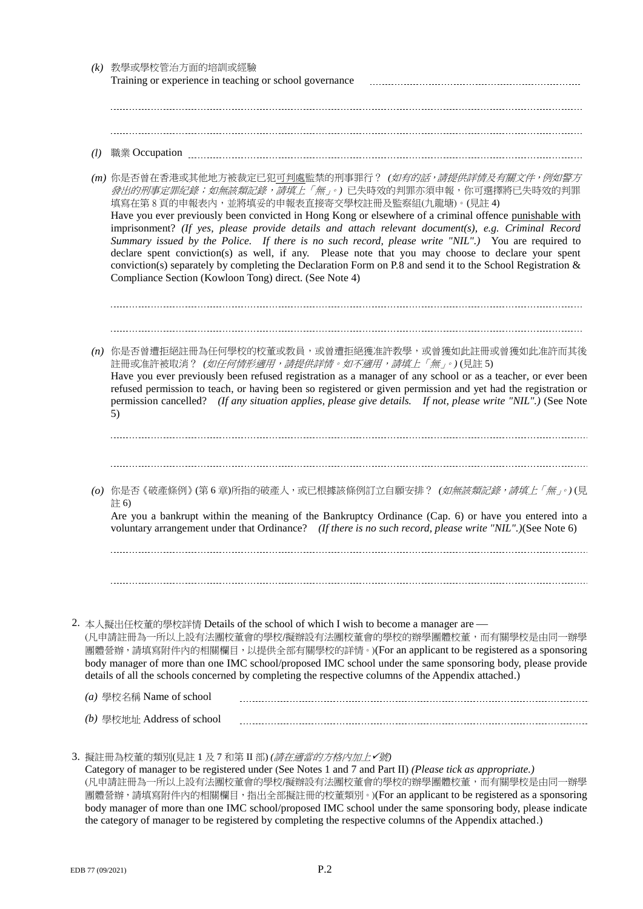| (k) | 教學或學校管治方面的培訓或經驗<br>Training or experience in teaching or school governance                                                                                                                                                                                                                                                                                                                                                                                                                                                                                                                                                                                                                                                                                                                     |
|-----|------------------------------------------------------------------------------------------------------------------------------------------------------------------------------------------------------------------------------------------------------------------------------------------------------------------------------------------------------------------------------------------------------------------------------------------------------------------------------------------------------------------------------------------------------------------------------------------------------------------------------------------------------------------------------------------------------------------------------------------------------------------------------------------------|
|     |                                                                                                                                                                                                                                                                                                                                                                                                                                                                                                                                                                                                                                                                                                                                                                                                |
| (l) | 職業 Occupation manual manual manual manual manual manual manual manual manual manual manual manual manual manua                                                                                                                                                                                                                                                                                                                                                                                                                                                                                                                                                                                                                                                                                 |
|     | (m) 你是否曾在香港或其他地方被裁定已犯 <u>可判處</u> 監禁的刑事罪行? ( <i>如有的話,請提供詳情及有關文件,例如警方</i><br><i>發出的刑事定罪紀錄;如無該類記錄,請填上「無」。</i> )已失時效的判罪亦須申報,你可選擇將已失時效的判罪<br>填寫在第8頁的申報表內,並將填妥的申報表直接寄交學校註冊及監察組(九龍塘)。(見註 4)<br>Have you ever previously been convicted in Hong Kong or elsewhere of a criminal offence punishable with<br>imprisonment? (If yes, please provide details and attach relevant document(s), e.g. Criminal Record<br>Summary issued by the Police. If there is no such record, please write "NIL".) You are required to<br>declare spent conviction(s) as well, if any. Please note that you may choose to declare your spent<br>conviction(s) separately by completing the Declaration Form on P.8 and send it to the School Registration $\&$<br>Compliance Section (Kowloon Tong) direct. (See Note 4) |
|     | (n) 你是否曾遭拒絕註冊為任何學校的校董或教員,或曾遭拒絕獲准許教學,或曾獲如此註冊或曾獲如此准許而其後<br>註冊或准許被取消? (如任何情形適用,請提供詳情。如不適用,請填上「無」。)(見註5)<br>Have you ever previously been refused registration as a manager of any school or as a teacher, or ever been<br>refused permission to teach, or having been so registered or given permission and yet had the registration or<br>permission cancelled? (If any situation applies, please give details. If not, please write "NIL".) (See Note<br>5)                                                                                                                                                                                                                                                                                                                                     |
|     | (o) 你是否《破產條例》(第6章)所指的破產人,或已根據該條例訂立自願安排? (如無該類記錄,請填上「無」。)(見<br>註6)<br>Are you a bankrupt within the meaning of the Bankruptcy Ordinance (Cap. 6) or have you entered into a<br>voluntary arrangement under that Ordinance? (If there is no such record, please write "NIL".)(See Note 6)                                                                                                                                                                                                                                                                                                                                                                                                                                                                                                        |
|     |                                                                                                                                                                                                                                                                                                                                                                                                                                                                                                                                                                                                                                                                                                                                                                                                |
|     | 2. 本人擬出任校董的學校詳情 Details of the school of which I wish to become a manager are —<br>(凡申請註冊為一所以上設有法團校董會的學校/擬辦設有法團校董會的學校的辦學團體校董,而有關學校是由同一辦學<br>團體營辦,請填寫附件內的相關欄目,以提供全部有關學校的詳情。)(For an applicant to be registered as a sponsoring<br>body manager of more than one IMC school/proposed IMC school under the same sponsoring body, please provide<br>details of all the schools concerned by completing the respective columns of the Appendix attached.)                                                                                                                                                                                                                                                                                                                                           |
|     | (a) 學校名稱 Name of school                                                                                                                                                                                                                                                                                                                                                                                                                                                                                                                                                                                                                                                                                                                                                                        |
|     | (b) 學校地址 Address of school                                                                                                                                                                                                                                                                                                                                                                                                                                                                                                                                                                                                                                                                                                                                                                     |
|     | 3. 擬註冊為校董的類別(見註1及7和第Ⅱ部) <i>(請在適當的方格內加上✔號</i> )                                                                                                                                                                                                                                                                                                                                                                                                                                                                                                                                                                                                                                                                                                                                                 |

Category of manager to be registered under (See Notes 1 and 7 and Part II) *(Please tick as appropriate.)* (凡申請註冊為一所以上設有法團校董會的學校/擬辦設有法團校董會的學校的辦學團體校董,而有關學校是由同一辦學 團體營辦,請填寫附件內的相關欄目,指出全部擬註冊的校董類別。)(For an applicant to be registered as a sponsoring body manager of more than one IMC school/proposed IMC school under the same sponsoring body, please indicate the category of manager to be registered by completing the respective columns of the Appendix attached.)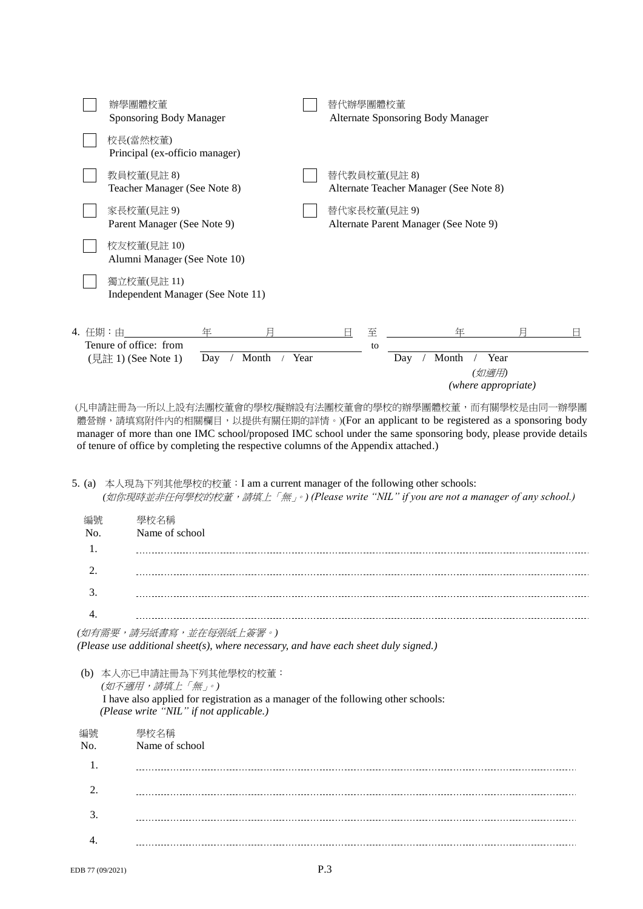

(凡申請註冊為一所以上設有法團校董會的學校/擬辦設有法團校董會的學校的辦學團體校董,而有關學校是由同一辦學團 體營辦,請填寫附件內的相關欄目,以提供有關任期的詳情。)(For an applicant to be registered as a sponsoring body manager of more than one IMC school/proposed IMC school under the same sponsoring body, please provide details of tenure of office by completing the respective columns of the Appendix attached.)

5. (a) 本人現為下列其他學校的校董:I am a current manager of the following other schools: *(*如你現時並非任何學校的校董,請填上「無」。*) (Please write "NIL" if you are not a manager of any school.)*

| 編號<br>No. | 學校名稱<br>Name of school |
|-----------|------------------------|
|           |                        |
| 3         |                        |

*(*如有需要,請另紙書寫,並在每張紙上簽署。*) (Please use additional sheet(s), where necessary, and have each sheet duly signed.)*

(b) 本人亦已申請註冊為下列其他學校的校董: *(*如不適用,請填上「無」。*)* I have also applied for registration as a manager of the following other schools: *(Please write "NIL" if not applicable.)*

| 編號<br>No.      | 學校名稱<br>Name of school |
|----------------|------------------------|
| 1.             |                        |
| $\overline{2}$ |                        |
| 3.             |                        |
|                |                        |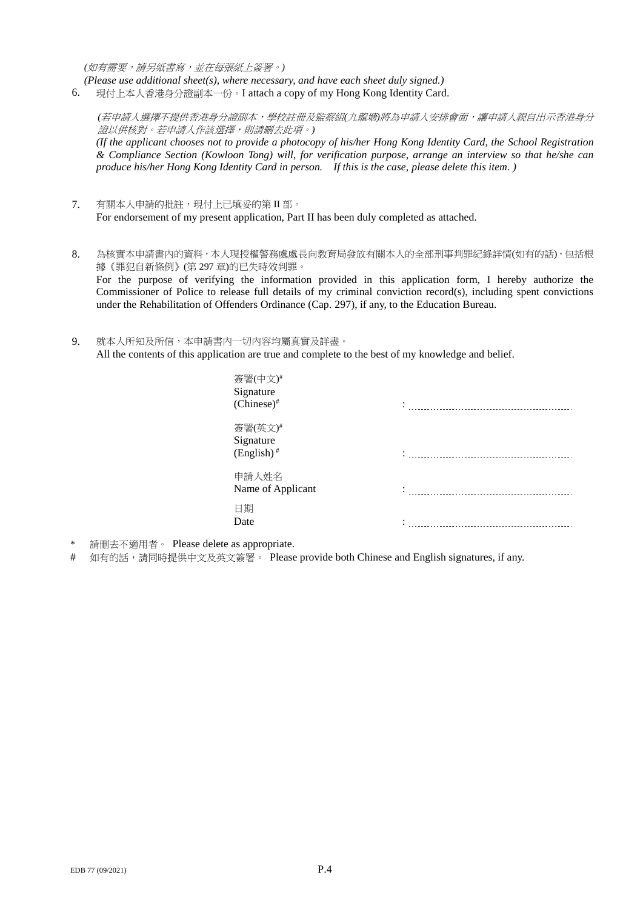*(*如有需要,請另紙書寫,並在每張紙上簽署。*)*

*(Please use additional sheet(s), where necessary, and have each sheet duly signed.)*

6. 現付上本人香港身分證副本一份。I attach a copy of my Hong Kong Identity Card.

*(*若申請人選擇不提供香港身分證副本,學校註冊及監察組*(*九龍塘*)*將為申請人安排會面,讓申請人親自出示香港身分 證以供核對。若申請人作該選擇,則請刪去此項。*) (If the applicant chooses not to provide a photocopy of his/her Hong Kong Identity Card, the School Registration & Compliance Section (Kowloon Tong) will, for verification purpose, arrange an interview so that he/she can produce his/her Hong Kong Identity Card in person. If this is the case, please delete this item. )*

- 7. 有關本人申請的批註,現付上已填妥的第 II 部。 For endorsement of my present application, Part II has been duly completed as attached.
- 8. 為核實本申請書內的資料,本人現授權警務處處長向教育局發放有關本人的全部刑事判罪紀錄詳情(如有的話),包括根 據《罪犯自新條例》(第 297 章)的已失時效判罪。 For the purpose of verifying the information provided in this application form, I hereby authorize the Commissioner of Police to release full details of my criminal conviction record(s), including spent convictions under the Rehabilitation of Offenders Ordinance (Cap. 297), if any, to the Education Bureau.
- 9. 就本人所知及所信,本申請書內一切內容均屬真實及詳盡。 All the contents of this application are true and complete to the best of my knowledge and belief.

| 簽署(中文)#<br>Signature<br>$(Chinese)^*$            |  |
|--------------------------------------------------|--|
| 簽署(英文)#<br>Signature<br>$(English)$ <sup>#</sup> |  |
| 申請人姓名<br>Name of Applicant                       |  |
| 日期<br>Date                                       |  |

- \* 請刪去不適用者。 Please delete as appropriate.
- # 如有的話,請同時提供中文及英文簽署。 Please provide both Chinese and English signatures, if any.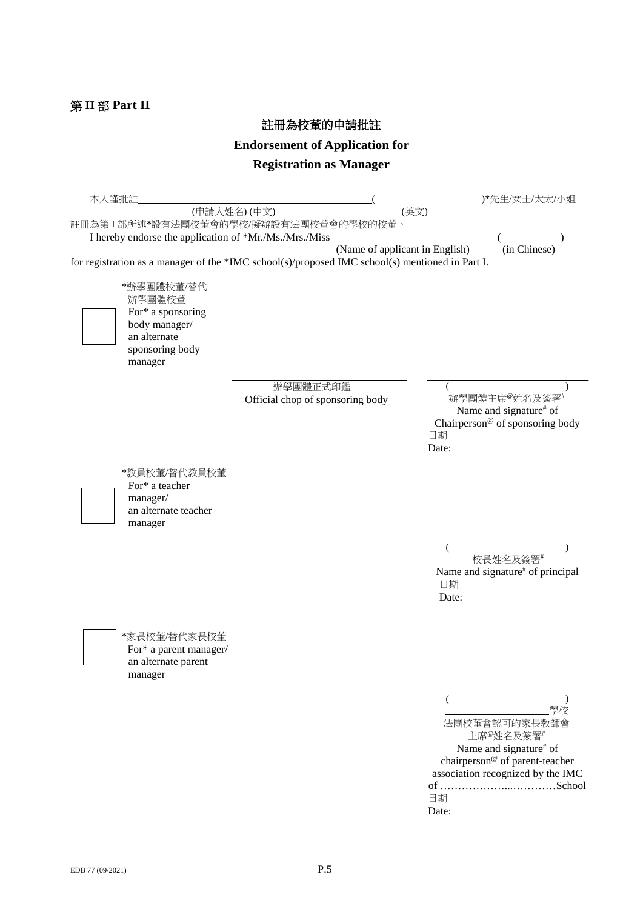# 第 **II** 部 **Part II**

註冊為校董的申請批註

**Endorsement of Application for**

# **Registration as Manager**

| 本人謹批註 | (申請人姓名)(中文)<br>I hereby endorse the application of *Mr./Ms./Mrs./Miss                                    | 註冊為第I部所述*設有法團校董會的學校/擬辦設有法團校董會的學校的校董。                                                            | )*先生/女士/太太/小姐<br>(英文)                                                                                                                                                                 |
|-------|----------------------------------------------------------------------------------------------------------|-------------------------------------------------------------------------------------------------|---------------------------------------------------------------------------------------------------------------------------------------------------------------------------------------|
|       |                                                                                                          | (Name of applicant in English)                                                                  | (in Chinese)                                                                                                                                                                          |
|       | *辦學團體校董/替代<br>辦學團體校董<br>For* a sponsoring<br>body manager/<br>an alternate<br>sponsoring body<br>manager | for registration as a manager of the *IMC school(s)/proposed IMC school(s) mentioned in Part I. |                                                                                                                                                                                       |
|       |                                                                                                          | 辦學團體正式印鑑<br>Official chop of sponsoring body                                                    | 辦學團體主席 <sup>@</sup> 姓名及簽署#<br>Name and signature# of<br>Chairperson <sup>®</sup> of sponsoring body<br>日期<br>Date:                                                                    |
|       | *教員校董/替代教員校董<br>For* a teacher<br>manager/<br>an alternate teacher<br>manager                            |                                                                                                 |                                                                                                                                                                                       |
|       |                                                                                                          |                                                                                                 | 校長姓名及簽署#<br>Name and signature <sup>#</sup> of principal<br>日期<br>Date:                                                                                                               |
|       | *家長校董/替代家長校董<br>For* a parent manager/<br>an alternate parent<br>manager                                 |                                                                                                 |                                                                                                                                                                                       |
|       |                                                                                                          |                                                                                                 | 學校<br>法團校董會認可的家長教師會<br>主席 <sup>@</sup> 姓名及簽署#<br>Name and signature <sup>#</sup> of<br>chairperson <sup>®</sup> of parent-teacher<br>association recognized by the IMC<br>日期<br>Date: |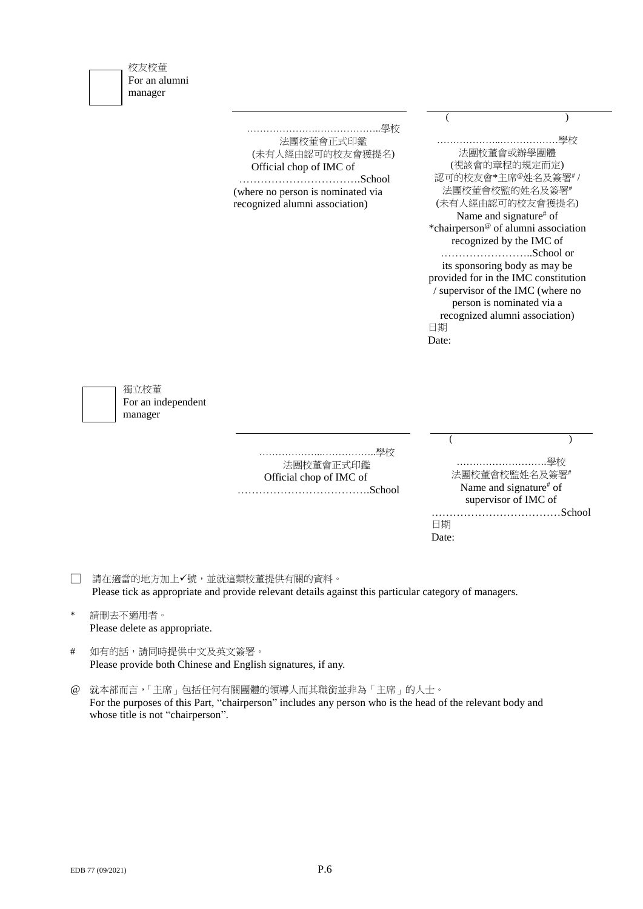| 校友校董          |                                  |
|---------------|----------------------------------|
| For an alumni |                                  |
| manager       |                                  |
|               |                                  |
|               |                                  |
|               | …………………………………………學校               |
|               | 法團校董會正式印鑑                        |
|               | (未有人經由認可的校友會獲提名)                 |
|               | $\bigcap$ fficial chon of IMC of |

法團校董會正式印鑑 (未有人經由認可的校友會獲提名) Official chop of IMC of …………………………….School

(where no person is nominated via recognized alumni association)

| …………學<br>.                                      |
|-------------------------------------------------|
| 法團校董會或辦學團體                                      |
| (視該會的章程的規定而定)                                   |
| 認可的校友會*主席®姓名及簽署#/                               |
| 法團校董會校監的姓名及簽署#                                  |
| (未有人經由認可的校友會獲提名)                                |
| Name and signature <sup>#</sup> of              |
| *chairperson <sup>@</sup> of alumni association |
| recognized by the IMC of                        |
| School or                                       |
| its sponsoring body as may be                   |
| provided for in the IMC constitution            |
| / supervisor of the IMC (where no               |
| person is nominated via a                       |
| recognized alumni association)                  |
| 日期                                              |
|                                                 |

 $($ 

獨立校董 For an independent manager

> ………………..……………..學校 法團校董會正式印鑑 Official chop of IMC of ……………………………….School

|          | 法團校董會校監姓名及簽署#          |  |
|----------|------------------------|--|
|          | Name and signature# of |  |
|          | supervisor of IMC of   |  |
|          | School                 |  |
| 日期       |                        |  |
| <b>A</b> |                        |  |

Date:

□ 請在適當的地方加上√號,並就這類校董提供有關的資料。 Please tick as appropriate and provide relevant details against this particular category of managers.

- \* 請刪去不適用者。 Please delete as appropriate.
- # 如有的話,請同時提供中文及英文簽署。 Please provide both Chinese and English signatures, if any.
- @ 就本部而言,「主席」包括任何有關團體的領導人而其職銜並非為「主席」的人士。 For the purposes of this Part, "chairperson" includes any person who is the head of the relevant body and whose title is not "chairperson".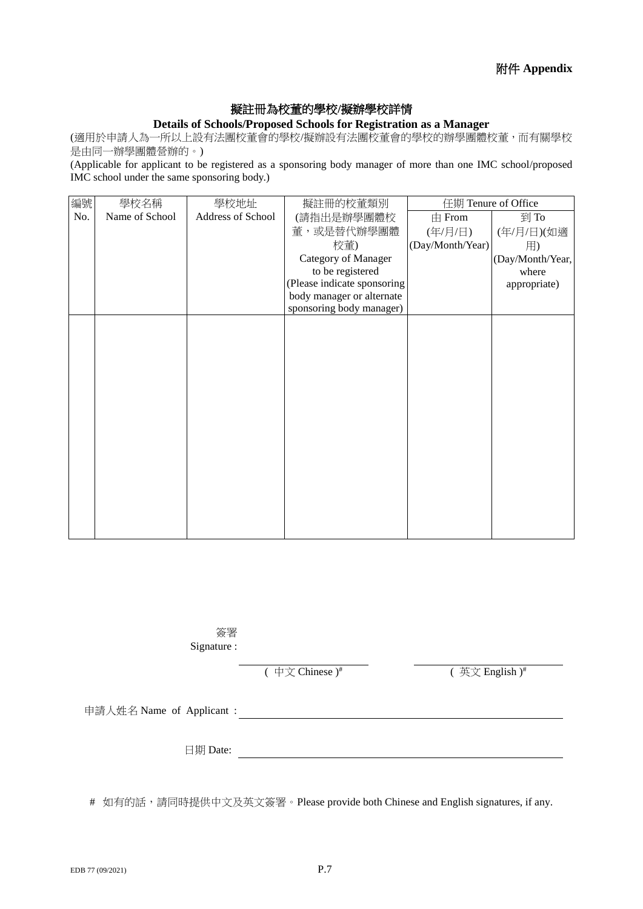### 擬註冊為校董的學校**/**擬辦學校詳情

#### **Details of Schools/Proposed Schools for Registration as a Manager**

(適用於申請人為一所以上設有法團校董會的學校/擬辦設有法團校董會的學校的辦學團體校董,而有關學校 是由同一辦學團體營辦的。)

(Applicable for applicant to be registered as a sponsoring body manager of more than one IMC school/proposed IMC school under the same sponsoring body.)

| 編號  | 學校名稱           | 學校地址              | 擬註冊的校董類別                    | 任期 Tenure of Office |                  |
|-----|----------------|-------------------|-----------------------------|---------------------|------------------|
| No. | Name of School | Address of School | (請指出是辦學團體校                  | $\pm$ From          | 到 To             |
|     |                |                   | 董,或是替代辦學團體                  | (年/月/日)             | (年/月/日)(如適       |
|     |                |                   | 校董)                         | (Day/Month/Year)    | 用)               |
|     |                |                   | Category of Manager         |                     | (Day/Month/Year, |
|     |                |                   | to be registered            |                     | where            |
|     |                |                   | (Please indicate sponsoring |                     | appropriate)     |
|     |                |                   | body manager or alternate   |                     |                  |
|     |                |                   | sponsoring body manager)    |                     |                  |
|     |                |                   |                             |                     |                  |
|     |                |                   |                             |                     |                  |
|     |                |                   |                             |                     |                  |
|     |                |                   |                             |                     |                  |
|     |                |                   |                             |                     |                  |
|     |                |                   |                             |                     |                  |
|     |                |                   |                             |                     |                  |
|     |                |                   |                             |                     |                  |
|     |                |                   |                             |                     |                  |
|     |                |                   |                             |                     |                  |
|     |                |                   |                             |                     |                  |
|     |                |                   |                             |                     |                  |
|     |                |                   |                             |                     |                  |
|     |                |                   |                             |                     |                  |
|     |                |                   |                             |                     |                  |
|     |                |                   |                             |                     |                  |
|     |                |                   |                             |                     |                  |

簽署 Signature :

 $(\oplus \overline{\chi}$  Chinese  $)^{\#}$ 

( 英文 English )#

申請人姓名 Name of Applicant :

日期 Date:

# 如有的話,請同時提供中文及英文簽署。Please provide both Chinese and English signatures, if any.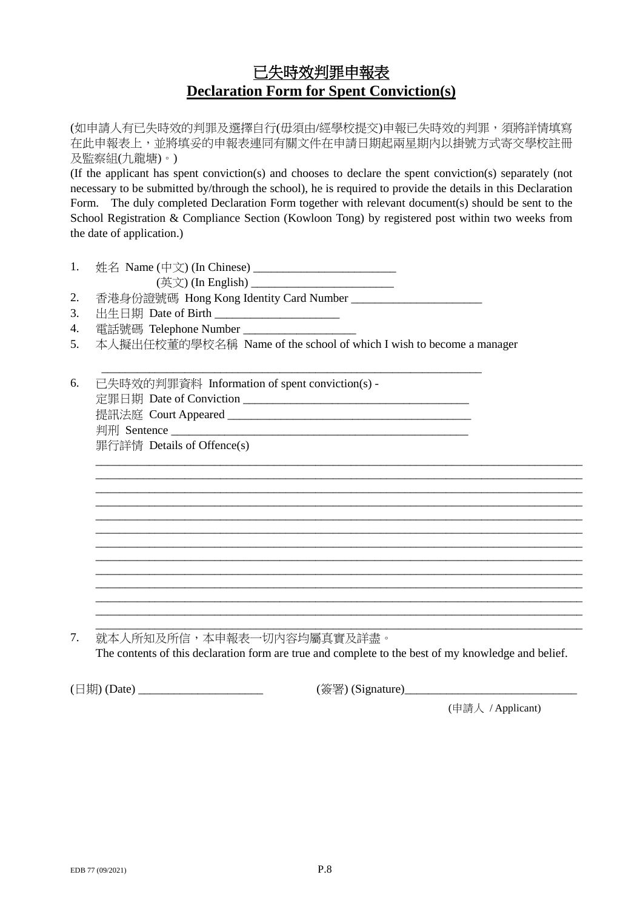# 已失時效判罪申報表 **Declaration Form for Spent Conviction(s)**

(如申請人有已失時效的判罪及選擇自行(毋須由/經學校提交)申報已失時效的判罪,須將詳情填寫 在此申報表上,並將填妥的申報表連同有關文件在申請日期起兩星期內以掛號方式寄交學校註冊 及監察組(九龍塘)。)

(If the applicant has spent conviction(s) and chooses to declare the spent conviction(s) separately (not necessary to be submitted by/through the school), he is required to provide the details in this Declaration Form. The duly completed Declaration Form together with relevant document(s) should be sent to the School Registration & Compliance Section (Kowloon Tong) by registered post within two weeks from the date of application.)

| 1. | 姓名 Name (中文) (In Chinese) |
|----|---------------------------|
|    |                           |

(英文) (In English) \_\_\_\_\_\_\_\_\_\_\_\_\_\_\_\_\_\_\_\_\_\_\_\_

2. 香港身份證號碼 Hong Kong Identity Card Number \_\_\_\_\_\_\_\_\_\_\_\_\_\_\_\_\_\_\_\_\_\_

- 3. 出生日期 Date of Birth
- 4. 電話號碼 Telephone Number \_\_\_\_\_\_\_\_\_\_\_\_\_\_\_\_\_\_\_
- 5. 本人擬出任校董的學校名稱 Name of the school of which I wish to become a manager

\_\_\_\_\_\_\_\_\_\_\_\_\_\_\_\_\_\_\_\_\_\_\_\_\_\_\_\_\_\_\_\_\_\_\_\_\_\_\_\_\_\_\_\_\_\_\_\_\_\_\_\_\_\_\_\_\_\_\_\_\_\_\_\_

| 6. | 已失時效的判罪資料 Information of spent conviction(s) - |
|----|------------------------------------------------|
|    | 定罪日期 Date of Conviction                        |

提訊法庭 Court Appeared \_\_\_\_\_\_\_\_\_\_\_\_\_\_\_\_\_\_\_\_\_\_\_\_\_\_\_\_\_\_\_\_\_\_\_\_\_\_\_\_\_ 判刑 Sentence  $\Box$ 

罪行詳情 Details of Offence(s)

\_\_\_\_\_\_\_\_\_\_\_\_\_\_\_\_\_\_\_\_\_\_\_\_\_\_\_\_\_\_\_\_\_\_\_\_\_\_\_\_\_\_\_\_\_\_\_\_\_\_\_\_\_\_\_\_\_\_\_\_\_\_\_\_\_\_\_\_\_\_\_\_\_\_\_\_\_\_\_\_\_\_ 7. 就本人所知及所信,本申報表一切內容均屬真實及詳盡。 The contents of this declaration form are true and complete to the best of my knowledge and belief.

\_\_\_\_\_\_\_\_\_\_\_\_\_\_\_\_\_\_\_\_\_\_\_\_\_\_\_\_\_\_\_\_\_\_\_\_\_\_\_\_\_\_\_\_\_\_\_\_\_\_\_\_\_\_\_\_\_\_\_\_\_\_\_\_\_\_\_\_\_\_\_\_\_\_\_\_\_\_\_\_\_\_ \_\_\_\_\_\_\_\_\_\_\_\_\_\_\_\_\_\_\_\_\_\_\_\_\_\_\_\_\_\_\_\_\_\_\_\_\_\_\_\_\_\_\_\_\_\_\_\_\_\_\_\_\_\_\_\_\_\_\_\_\_\_\_\_\_\_\_\_\_\_\_\_\_\_\_\_\_\_\_\_\_\_ \_\_\_\_\_\_\_\_\_\_\_\_\_\_\_\_\_\_\_\_\_\_\_\_\_\_\_\_\_\_\_\_\_\_\_\_\_\_\_\_\_\_\_\_\_\_\_\_\_\_\_\_\_\_\_\_\_\_\_\_\_\_\_\_\_\_\_\_\_\_\_\_\_\_\_\_\_\_\_\_\_\_ \_\_\_\_\_\_\_\_\_\_\_\_\_\_\_\_\_\_\_\_\_\_\_\_\_\_\_\_\_\_\_\_\_\_\_\_\_\_\_\_\_\_\_\_\_\_\_\_\_\_\_\_\_\_\_\_\_\_\_\_\_\_\_\_\_\_\_\_\_\_\_\_\_\_\_\_\_\_\_\_\_\_ \_\_\_\_\_\_\_\_\_\_\_\_\_\_\_\_\_\_\_\_\_\_\_\_\_\_\_\_\_\_\_\_\_\_\_\_\_\_\_\_\_\_\_\_\_\_\_\_\_\_\_\_\_\_\_\_\_\_\_\_\_\_\_\_\_\_\_\_\_\_\_\_\_\_\_\_\_\_\_\_\_\_ \_\_\_\_\_\_\_\_\_\_\_\_\_\_\_\_\_\_\_\_\_\_\_\_\_\_\_\_\_\_\_\_\_\_\_\_\_\_\_\_\_\_\_\_\_\_\_\_\_\_\_\_\_\_\_\_\_\_\_\_\_\_\_\_\_\_\_\_\_\_\_\_\_\_\_\_\_\_\_\_\_\_ \_\_\_\_\_\_\_\_\_\_\_\_\_\_\_\_\_\_\_\_\_\_\_\_\_\_\_\_\_\_\_\_\_\_\_\_\_\_\_\_\_\_\_\_\_\_\_\_\_\_\_\_\_\_\_\_\_\_\_\_\_\_\_\_\_\_\_\_\_\_\_\_\_\_\_\_\_\_\_\_\_\_ \_\_\_\_\_\_\_\_\_\_\_\_\_\_\_\_\_\_\_\_\_\_\_\_\_\_\_\_\_\_\_\_\_\_\_\_\_\_\_\_\_\_\_\_\_\_\_\_\_\_\_\_\_\_\_\_\_\_\_\_\_\_\_\_\_\_\_\_\_\_\_\_\_\_\_\_\_\_\_\_\_\_ \_\_\_\_\_\_\_\_\_\_\_\_\_\_\_\_\_\_\_\_\_\_\_\_\_\_\_\_\_\_\_\_\_\_\_\_\_\_\_\_\_\_\_\_\_\_\_\_\_\_\_\_\_\_\_\_\_\_\_\_\_\_\_\_\_\_\_\_\_\_\_\_\_\_\_\_\_\_\_\_\_\_ \_\_\_\_\_\_\_\_\_\_\_\_\_\_\_\_\_\_\_\_\_\_\_\_\_\_\_\_\_\_\_\_\_\_\_\_\_\_\_\_\_\_\_\_\_\_\_\_\_\_\_\_\_\_\_\_\_\_\_\_\_\_\_\_\_\_\_\_\_\_\_\_\_\_\_\_\_\_\_\_\_\_ \_\_\_\_\_\_\_\_\_\_\_\_\_\_\_\_\_\_\_\_\_\_\_\_\_\_\_\_\_\_\_\_\_\_\_\_\_\_\_\_\_\_\_\_\_\_\_\_\_\_\_\_\_\_\_\_\_\_\_\_\_\_\_\_\_\_\_\_\_\_\_\_\_\_\_\_\_\_\_\_\_\_ \_\_\_\_\_\_\_\_\_\_\_\_\_\_\_\_\_\_\_\_\_\_\_\_\_\_\_\_\_\_\_\_\_\_\_\_\_\_\_\_\_\_\_\_\_\_\_\_\_\_\_\_\_\_\_\_\_\_\_\_\_\_\_\_\_\_\_\_\_\_\_\_\_\_\_\_\_\_\_\_\_\_

(日期) (Date) \_\_\_\_\_\_\_\_\_\_\_\_\_\_\_\_\_\_\_\_\_\_\_\_\_\_\_\_\_\_\_\_\_\_ (簽署) (Signature)\_\_\_\_\_\_\_\_\_\_\_\_\_\_\_\_\_

(申請人 / Applicant)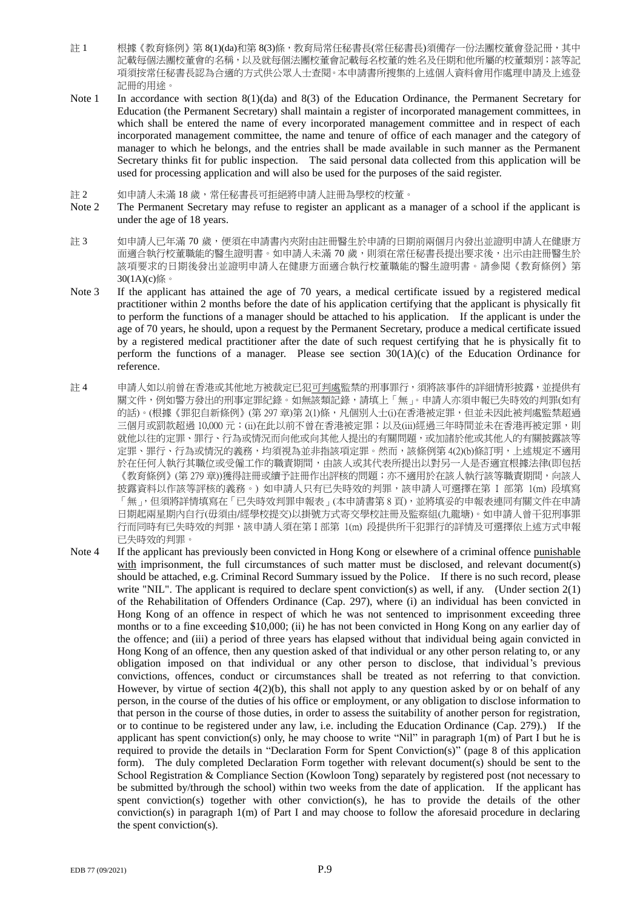- 註 1 根據《教育條例》第 8(1)(da)和第 8(3)條,教育局常任秘書長(常任秘書長)須備存一份法團校董會登記冊,其中 記載每個法團校董會的名稱,以及就每個法團校董會記載每名校董的姓名及任期和他所屬的校董類別;該等記 項須按常任秘書長認為合適的方式供公眾人士查閱。本申請書所搜集的上述個人資料會用作處理申請及上述登 記冊的用途。
- Note 1 In accordance with section 8(1)(da) and 8(3) of the Education Ordinance, the Permanent Secretary for Education (the Permanent Secretary) shall maintain a register of incorporated management committees, in which shall be entered the name of every incorporated management committee and in respect of each incorporated management committee, the name and tenure of office of each manager and the category of manager to which he belongs, and the entries shall be made available in such manner as the Permanent Secretary thinks fit for public inspection. The said personal data collected from this application will be used for processing application and will also be used for the purposes of the said register.
- 註 2 如申請人未滿 18 歲,常任秘書長可拒絕將申請人註冊為學校的校董。
- Note 2 The Permanent Secretary may refuse to register an applicant as a manager of a school if the applicant is under the age of 18 years.
- 註 3 初申請人已年滿 70 歲,便須在申請書內夾附由註冊醫生於申請的日期前兩個月內發出並證明申請人在健康方 面適合執行校董職能的醫生證明書。如申請人未滿 70 歲,則須在常任秘書長提出要求後,出示由註冊醫生於 該項要求的日期後發出並證明申請人在健康方面適合執行校董職能的醫生證明書。請參閱《教育條例》第 30(1A)(c)條。
- Note 3 If the applicant has attained the age of 70 years, a medical certificate issued by a registered medical practitioner within 2 months before the date of his application certifying that the applicant is physically fit to perform the functions of a manager should be attached to his application. If the applicant is under the age of 70 years, he should, upon a request by the Permanent Secretary, produce a medical certificate issued by a registered medical practitioner after the date of such request certifying that he is physically fit to perform the functions of a manager. Please see section  $30(1A)(c)$  of the Education Ordinance for reference.
- 註 4 申請人如以前曾在香港或其他地方被裁定已犯可判處監禁的刑事罪行,須將該事件的詳細情形披露,並提供有 關文件,例如警方發出的刑事定罪紀錄。如無該類記錄,請填上「無」。申請人亦須申報已失時效的判罪(如有 的話)。(根據《罪犯自新條例》(第297章)第 2(1)條,凡個別人士(i)在香港被定罪,但並未因此被判處監禁超過 三個月或罰款超過 10,000 元; (ii)在此以前不曾在香港被定罪;以及(iii)經過三年時間並未在香港再被定罪,則 就他以往的定罪、罪行、行為或情況而向他或向其他人提出的有關問題,或加諸於他或其他人的有關披露該等 定罪、罪行、行為或情況的義務,均須視為並非指該項定罪。然而,該條例第 4(2)(b)條訂明,上述規定不適用 於在任何人執行其職位或受僱工作的職責期間,由該人或其代表所提出以對另一人是否適宜根據法律(即包括 《教育條例》(第279章))獲得註冊或續予註冊作出評核的問題;亦不適用於在該人執行該等職責期間,向該人 披露資料以作該等評核的義務。) 如申請人只有已失時效的判罪,該申請人可選擇在第 I 部第 1(m) 段填寫 「無」,但須將詳情填寫在「已失時效判罪申報表」(本申請書第8頁),並將填妥的申報表連同有關文件在申請 日期起兩星期內自行(毋須由/經學校提交)以掛號方式寄交學校註冊及監察組(九龍塘)。如申請人曾干犯刑事罪 行而同時有已失時效的判罪,該申請人須在第 I 部第 1(m) 段提供所干犯罪行的詳情及可選擇依上述方式申報 已失時效的判罪。
- Note 4 If the applicant has previously been convicted in Hong Kong or elsewhere of a criminal offence punishable with imprisonment, the full circumstances of such matter must be disclosed, and relevant document(s) should be attached, e.g. Criminal Record Summary issued by the Police. If there is no such record, please write "NIL". The applicant is required to declare spent conviction(s) as well, if any. (Under section 2(1) of the Rehabilitation of Offenders Ordinance (Cap. 297), where (i) an individual has been convicted in Hong Kong of an offence in respect of which he was not sentenced to imprisonment exceeding three months or to a fine exceeding \$10,000; (ii) he has not been convicted in Hong Kong on any earlier day of the offence; and (iii) a period of three years has elapsed without that individual being again convicted in Hong Kong of an offence, then any question asked of that individual or any other person relating to, or any obligation imposed on that individual or any other person to disclose, that individual's previous convictions, offences, conduct or circumstances shall be treated as not referring to that conviction. However, by virtue of section  $4(2)(b)$ , this shall not apply to any question asked by or on behalf of any person, in the course of the duties of his office or employment, or any obligation to disclose information to that person in the course of those duties, in order to assess the suitability of another person for registration, or to continue to be registered under any law, i.e. including the Education Ordinance (Cap. 279).) If the applicant has spent conviction(s) only, he may choose to write "Nil" in paragraph  $1(m)$  of Part I but he is required to provide the details in "Declaration Form for Spent Conviction(s)" (page 8 of this application form). The duly completed Declaration Form together with relevant document(s) should be sent to the School Registration & Compliance Section (Kowloon Tong) separately by registered post (not necessary to be submitted by/through the school) within two weeks from the date of application. If the applicant has spent conviction(s) together with other conviction(s), he has to provide the details of the other conviction(s) in paragraph 1(m) of Part I and may choose to follow the aforesaid procedure in declaring the spent conviction(s).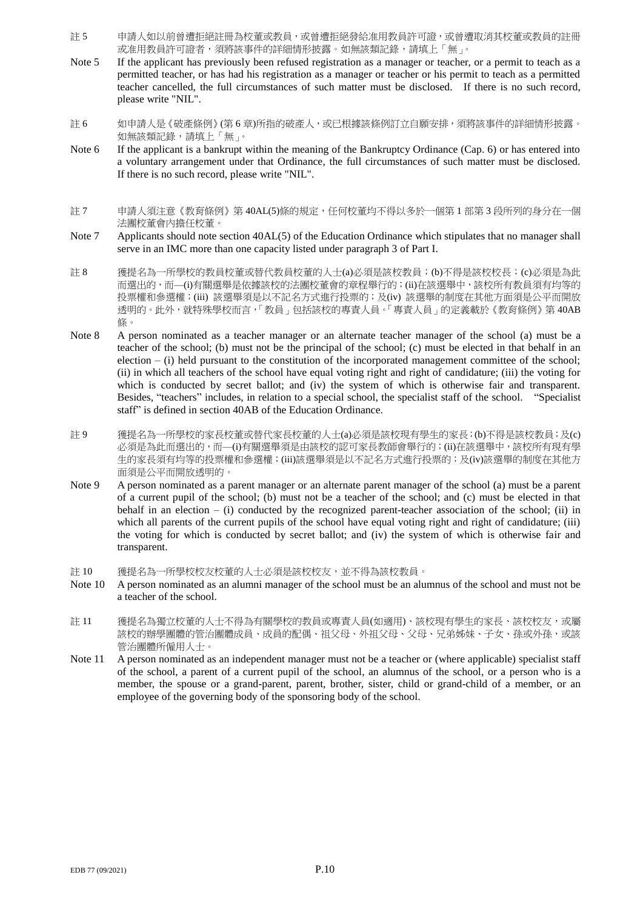- 註 5 申請人如以前曾遭拒絕註冊為校董或教員,或曾遭拒絕發給准用教員許可證,或曾遭取消其校董或教員的註冊 或准用教員許可證者,須將該事件的詳細情形披露。如無該類記錄,請填上「無」。
- Note 5 If the applicant has previously been refused registration as a manager or teacher, or a permit to teach as a permitted teacher, or has had his registration as a manager or teacher or his permit to teach as a permitted teacher cancelled, the full circumstances of such matter must be disclosed. If there is no such record, please write "NIL".
- 註 6 初申請人是《破產條例》(第 6 章)所指的破產人,或已根據該條例訂立自願安排,須將該事件的詳細情形披露。 如無該類記錄,請填上「無」。
- Note 6 If the applicant is a bankrupt within the meaning of the Bankruptcy Ordinance (Cap. 6) or has entered into a voluntary arrangement under that Ordinance, the full circumstances of such matter must be disclosed. If there is no such record, please write "NIL".
- 註 7 申請人須注意《教育條例》第 40AL(5)條的規定,任何校董均不得以多於一個第 1 部第 3 段所列的身分在一個 法團校董會內擔任校董。
- Note 7 Applicants should note section 40AL(5) of the Education Ordinance which stipulates that no manager shall serve in an IMC more than one capacity listed under paragraph 3 of Part I.
- 註 8 獲提名為一所學校的教員校董或替代教員校董的人士(a)必須是該校教員;(b)不得是該校校長;(c)必須是為此 而選出的,而—(i)有關選舉是依據該校的法團校董會的章程舉行的;(ii)在該選舉中,該校所有教員須有均等的 投票權和參選權;(iii) 該選舉須是以不記名方式進行投票的;及(iv) 該選舉的制度在其他方面須是公平而開放 透明的。此外,就特殊學校而言,「教員」包括該校的專責人員。「專責人員」的定義載於《教育條例》第 40AB 條。
- Note 8 A person nominated as a teacher manager or an alternate teacher manager of the school (a) must be a teacher of the school; (b) must not be the principal of the school; (c) must be elected in that behalf in an election – (i) held pursuant to the constitution of the incorporated management committee of the school; (ii) in which all teachers of the school have equal voting right and right of candidature; (iii) the voting for which is conducted by secret ballot; and (iv) the system of which is otherwise fair and transparent. Besides, "teachers" includes, in relation to a special school, the specialist staff of the school. "Specialist staff" is defined in section 40AB of the Education Ordinance.
- 註 9 獲提名為一所學校的家長校董或替代家長校董的人士(a)必須是該校現有學生的家長;(b)不得是該校教員;及(c) 必須是為此而選出的,而—(i)有關選舉須是由該校的認可家長教師會舉行的;(ii)在該選舉中,該校所有現有學 生的家長須有均等的投票權和參選權;(iii)該選舉須是以不記名方式進行投票的;及(iv)該選舉的制度在其他方 面須是公平而開放透明的。
- Note 9 A person nominated as a parent manager or an alternate parent manager of the school (a) must be a parent of a current pupil of the school; (b) must not be a teacher of the school; and (c) must be elected in that behalf in an election – (i) conducted by the recognized parent-teacher association of the school; (ii) in which all parents of the current pupils of the school have equal voting right and right of candidature; (iii) the voting for which is conducted by secret ballot; and (iv) the system of which is otherwise fair and transparent.
- 註 10 獲提名為一所學校校友校董的人士必須是該校校友,並不得為該校教員。
- Note 10 A person nominated as an alumni manager of the school must be an alumnus of the school and must not be a teacher of the school.
- 註 11 獲提名為獨立校董的人士不得為有關學校的教員或專責人員(如適用)、該校現有學生的家長、該校校友,或屬 該校的辦學團體的管治團體成員、成員的配偶、祖父母、外祖父母、父母、兄弟姊妹、子女、孫或外孫,或該 管治團體所僱用人士。
- Note 11 A person nominated as an independent manager must not be a teacher or (where applicable) specialist staff of the school, a parent of a current pupil of the school, an alumnus of the school, or a person who is a member, the spouse or a grand-parent, parent, brother, sister, child or grand-child of a member, or an employee of the governing body of the sponsoring body of the school.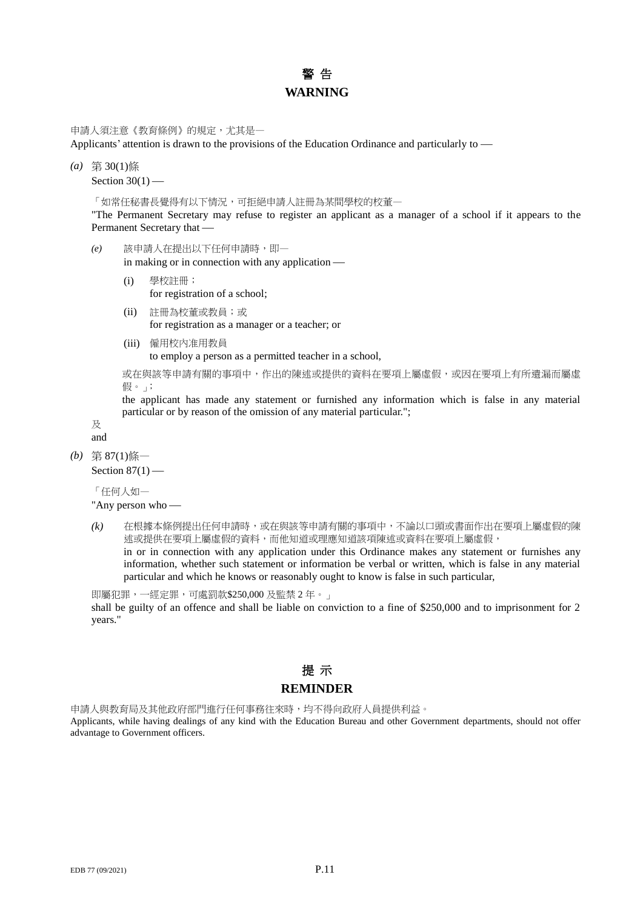### 警 告 **WARNING**

申請人須注意《教育條例》的規定,尤其是一

Applicants' attention is drawn to the provisions of the Education Ordinance and particularly to

*(a)* 第 30(1)條

Section  $30(1)$  —

「如常任秘書長覺得有以下情況,可拒絕申請人註冊為某間學校的校董一

"The Permanent Secretary may refuse to register an applicant as a manager of a school if it appears to the Permanent Secretary that

*(e)* 該申請人在提出以下任何申請時,即—

in making or in connection with any application

- (i) 學校註冊; for registration of a school;
- (ii) 註冊為校董或教員;或 for registration as a manager or a teacher; or
- (iii) 僱用校內准用教員 to employ a person as a permitted teacher in a school,

或在與該等申請有關的事項中,作出的陳述或提供的資料在要項上屬虛假,或因在要項上有所遺漏而屬虛 假。」;

the applicant has made any statement or furnished any information which is false in any material particular or by reason of the omission of any material particular.";

及 and

*(b)* 第 87(1)條—

Section  $87(1)$  —

「任何人如—

"Any person who

*(k)* 在根據本條例提出任何申請時,或在與該等申請有關的事項中,不論以口頭或書面作出在要項上屬虛假的陳 述或提供在要項上屬虛假的資料,而他知道或理應知道該項陳述或資料在要項上屬虛假, in or in connection with any application under this Ordinance makes any statement or furnishes any information, whether such statement or information be verbal or written, which is false in any material particular and which he knows or reasonably ought to know is false in such particular,

即屬犯罪,一經定罪,可處罰款\$250,000 及監禁 2 年。」 shall be guilty of an offence and shall be liable on conviction to a fine of \$250,000 and to imprisonment for 2 years."

### 提 示 **REMINDER**

申請人與教育局及其他政府部門進行任何事務往來時,均不得向政府人員提供利益。 Applicants, while having dealings of any kind with the Education Bureau and other Government departments, should not offer advantage to Government officers.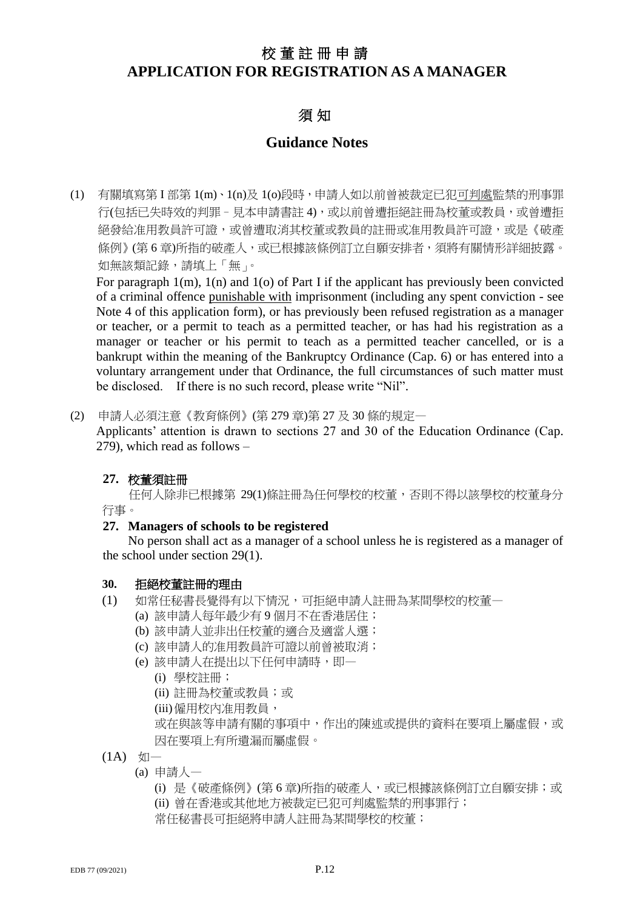## 校董註冊申請 **APPLICATION FOR REGISTRATION AS A MANAGER**

### 須 知

### **Guidance Notes**

(1) 有關填寫第 I 部第 1(m)、1(n)及 1(o)段時,申請人如以前曾被裁定已犯可判處監禁的刑事罪 行(包括已失時效的判罪 - 見本申請書註 4),或以前曾遭拒絕註冊為校董或教員,或曾遭拒 絕發給准用教員許可證,或曾遭取消其校董或教員的註冊或准用教員許可證,或是《破產 條例》(第6章)所指的破產人,或已根據該條例訂立自願安排者,須將有關情形詳細披露。 如無該類記錄,請填上「無」。

For paragraph 1(m), 1(n) and 1(o) of Part I if the applicant has previously been convicted of a criminal offence punishable with imprisonment (including any spent conviction - see Note 4 of this application form), or has previously been refused registration as a manager or teacher, or a permit to teach as a permitted teacher, or has had his registration as a manager or teacher or his permit to teach as a permitted teacher cancelled, or is a bankrupt within the meaning of the Bankruptcy Ordinance (Cap. 6) or has entered into a voluntary arrangement under that Ordinance, the full circumstances of such matter must be disclosed. If there is no such record, please write "Nil".

(2) 申請人必須注意《教育條例》(第 279 章)第 27 及 30 條的規定—

Applicants' attention is drawn to sections 27 and 30 of the Education Ordinance (Cap. 279), which read as follows –

### **27.** 校董須註冊

任何人除非已根據第 29(1)條註冊為任何學校的校董,否則不得以該學校的校董身分 行事。

### **27. Managers of schools to be registered**

No person shall act as a manager of a school unless he is registered as a manager of the school under section 29(1).

#### **30.** 拒絕校董註冊的理由

- (1) 如常任秘書長覺得有以下情況,可拒絕申請人註冊為某間學校的校董—
	- (a) 該申請人每年最少有 9 個月不在香港居住;
	- (b) 該申請人並非出任校董的適合及適當人選;
	- (c) 該申請人的准用教員許可證以前曾被取消;
	- (e) 該申請人在提出以下任何申請時,即—
		- (i) 學校註冊;
		- (ii) 註冊為校董或教員;或
		- (iii)僱用校內准用教員,

或在與該等申請有關的事項中,作出的陳述或提供的資料在要項上屬虛假,或 因在要項上有所遺漏而屬虛假。

- $(1A)$   $\sqrt[4]{1}$ 
	- (a) 申請人—

(i) 是《破產條例》(第 6 章)所指的破產人,或已根據該條例訂立自願安排;或 (ii) 曾在香港或其他地方被裁定已犯可判處監禁的刑事罪行; 常任秘書長可拒絕將申請人註冊為某間學校的校董;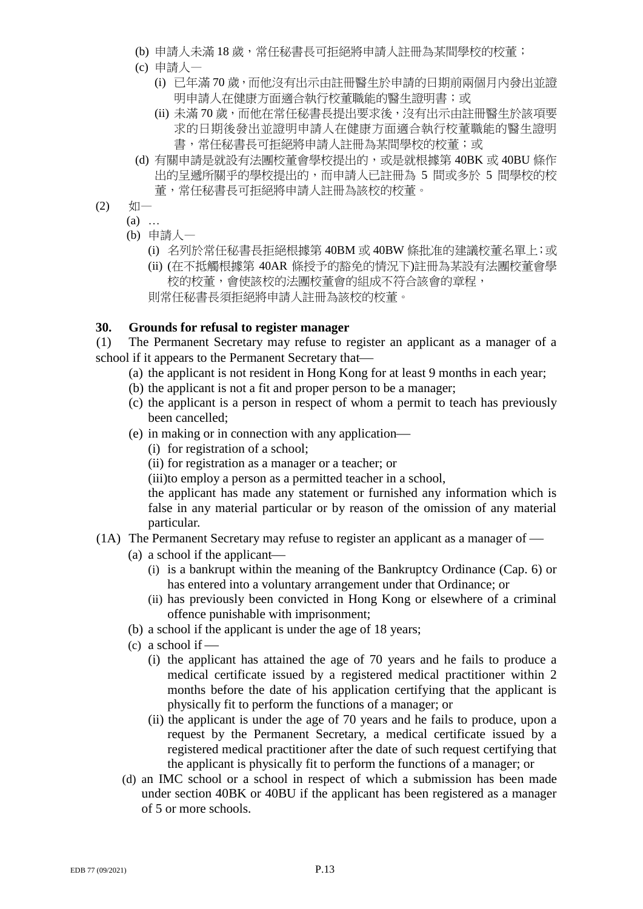- (b) 申請人未滿 18 歲,常任秘書長可拒絕將申請人註冊為某間學校的校董;
- (c) 申請人—
	- (i) 已年滿 70 歲, 而他沒有出示由註冊醫生於申請的日期前兩個月內發出並證 明申請人在健康方面適合執行校董職能的醫生證明書;或
	- (ii) 未滿 70 歲,而他在常任秘書長提出要求後, 沒有出示由註冊醫生於該項要 求的日期後發出並證明申請人在健康方面適合執行校董職能的醫生證明 書,常任秘書長可拒絕將申請人註冊為某間學校的校董;或
- (d) 有關申請是就設有法團校董會學校提出的,或是就根據第 40BK 或 40BU 條作 出的呈遞所關乎的學校提出的,而申請人已註冊為 5 間或多於 5 間學校的校 董,常任秘書長可拒絕將申請人註冊為該校的校董。
- $(2)$   $\sqrt[4]{0}$ 
	- $(a)$  ...
		- (b) 申請人—
			- (i) 名列於常任秘書長拒絕根據第 40BM 或 40BW 條批准的建議校董名單上;或
			- (ii) (在不抵觸根據第 40AR 條授予的豁免的情況下)註冊為某設有法團校董會學 校的校董,會使該校的法團校董會的組成不符合該會的章程,
			- 則常任秘書長須拒絕將申請人註冊為該校的校董。

### **30. Grounds for refusal to register manager**

(1) The Permanent Secretary may refuse to register an applicant as a manager of a school if it appears to the Permanent Secretary that

- (a) the applicant is not resident in Hong Kong for at least 9 months in each year;
- (b) the applicant is not a fit and proper person to be a manager;
- (c) the applicant is a person in respect of whom a permit to teach has previously been cancelled;
- (e) in making or in connection with any application
	- (i) for registration of a school;
	- (ii) for registration as a manager or a teacher; or
	- (iii)to employ a person as a permitted teacher in a school,

the applicant has made any statement or furnished any information which is false in any material particular or by reason of the omission of any material particular.

- (1A) The Permanent Secretary may refuse to register an applicant as a manager of
	- (a) a school if the applicant
		- (i) is a bankrupt within the meaning of the Bankruptcy Ordinance (Cap. 6) or has entered into a voluntary arrangement under that Ordinance; or
		- (ii) has previously been convicted in Hong Kong or elsewhere of a criminal offence punishable with imprisonment;
	- (b) a school if the applicant is under the age of 18 years;
	- $(c)$  a school if
		- (i) the applicant has attained the age of 70 years and he fails to produce a medical certificate issued by a registered medical practitioner within 2 months before the date of his application certifying that the applicant is physically fit to perform the functions of a manager; or
		- (ii) the applicant is under the age of 70 years and he fails to produce, upon a request by the Permanent Secretary, a medical certificate issued by a registered medical practitioner after the date of such request certifying that the applicant is physically fit to perform the functions of a manager; or
	- (d) an IMC school or a school in respect of which a submission has been made under section 40BK or 40BU if the applicant has been registered as a manager of 5 or more schools.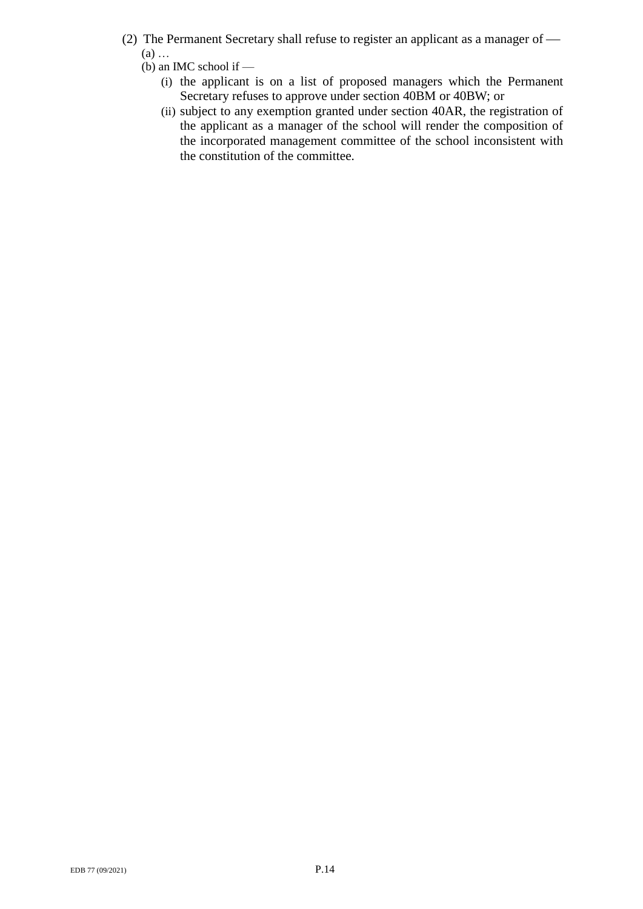- (2) The Permanent Secretary shall refuse to register an applicant as a manager of (a) …
	- (b) an IMC school if
		- (i) the applicant is on a list of proposed managers which the Permanent Secretary refuses to approve under section 40BM or 40BW; or
		- (ii) subject to any exemption granted under section 40AR, the registration of the applicant as a manager of the school will render the composition of the incorporated management committee of the school inconsistent with the constitution of the committee.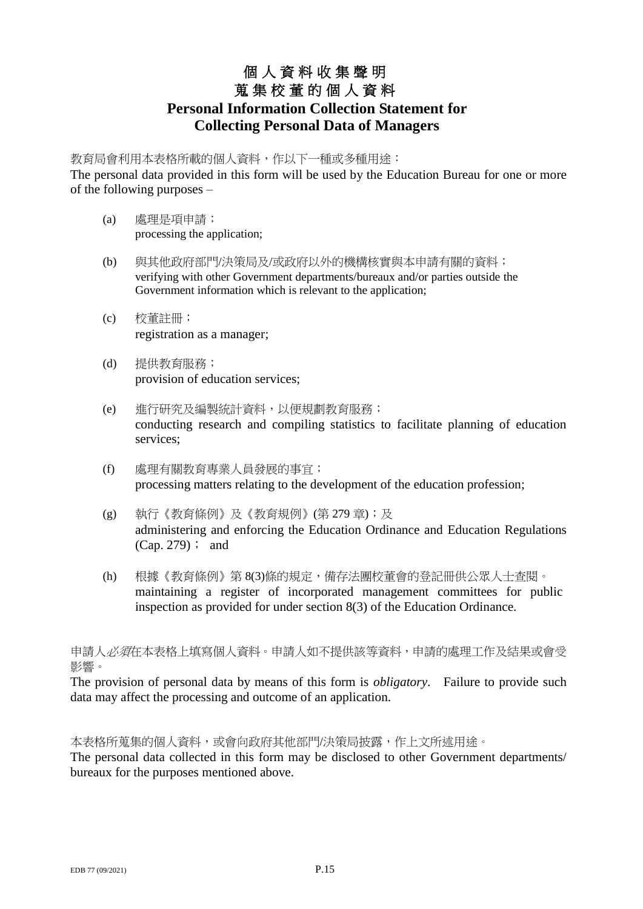# 個 人 資 料 收 集 聲 明 蒐 集 校 董 的 個 人 資 料 **Personal Information Collection Statement for Collecting Personal Data of Managers**

教育局會利用本表格所載的個人資料,作以下一種或多種用途:

The personal data provided in this form will be used by the Education Bureau for one or more of the following purposes –

- (a) 處理是項申請; processing the application;
- (b) 與其他政府部門/決策局及/或政府以外的機構核實與本申請有關的資料; verifying with other Government departments/bureaux and/or parties outside the Government information which is relevant to the application;
- (c) 校董註冊; registration as a manager;
- (d) 提供教育服務; provision of education services;
- (e) 進行研究及編製統計資料,以便規劃教育服務; conducting research and compiling statistics to facilitate planning of education services;
- (f) 處理有關教育專業人員發展的事宜; processing matters relating to the development of the education profession;
- (g) 執行《教育條例》及《教育規例》(第 279 章);及 administering and enforcing the Education Ordinance and Education Regulations (Cap. 279); and
- (h) 根據《教育條例》第 8(3)條的規定,備存法團校董會的登記冊供公眾人士查閱。 maintaining a register of incorporated management committees for public inspection as provided for under section 8(3) of the Education Ordinance.

申請人*必須*在本表格上填寫個人資料。申請人如不提供該等資料,申請的處理工作及結果或會受 影響。

The provision of personal data by means of this form is *obligatory*. Failure to provide such data may affect the processing and outcome of an application.

本表格所蒐集的個人資料,或會向政府其他部門/決策局披露,作上文所述用途。

The personal data collected in this form may be disclosed to other Government departments/ bureaux for the purposes mentioned above.